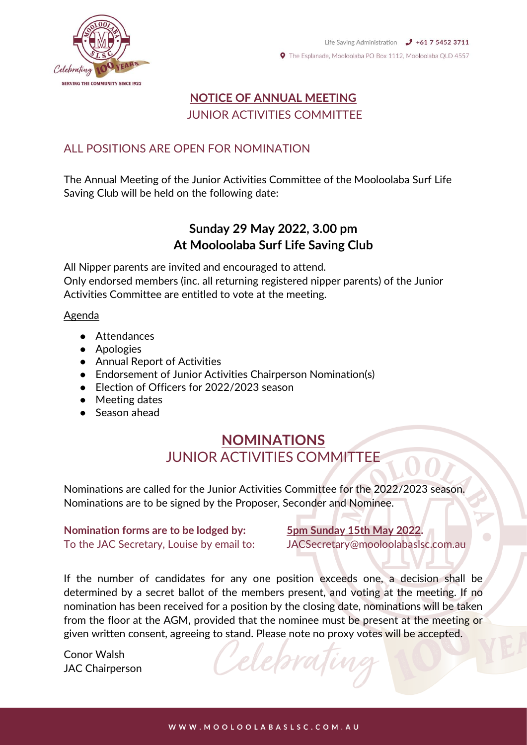



# **NOTICE OF ANNUAL MEETING** JUNIOR ACTIVITIES COMMITTEE

### ALL POSITIONS ARE OPEN FOR NOMINATION

The Annual Meeting of the Junior Activities Committee of the Mooloolaba Surf Life Saving Club will be held on the following date:

## **Sunday 29 May 2022, 3.00 pm At Mooloolaba Surf Life Saving Club**

All Nipper parents are invited and encouraged to attend. Only endorsed members (inc. all returning registered nipper parents) of the Junior Activities Committee are entitled to vote at the meeting.

#### Agenda

- Attendances
- Apologies
- Annual Report of Activities
- Endorsement of Junior Activities Chairperson Nomination(s)
- Election of Officers for 2022/2023 season
- Meeting dates
- Season ahead

# **NOMINATIONS** JUNIOR ACTIVITIES COMMITTEE

Nominations are called for the Junior Activities Committee for the 2022/2023 season. Nominations are to be signed by the Proposer, Seconder and Nominee.

#### **Nomination forms are to be lodged by: 5pm Sunday 15th May 2022.** To the JAC Secretary, Louise by email to: JACSecretary@mooloolabaslsc.com.au

If the number of candidates for any one position exceeds one, a decision shall be determined by a secret ballot of the members present, and voting at the meeting. If no nomination has been received for a position by the closing date, nominations will be taken from the floor at the AGM, provided that the nominee must be present at the meeting or given written consent, agreeing to stand. Please note no proxy votes will be accepted.

Conor Walsh JAC Chairperson